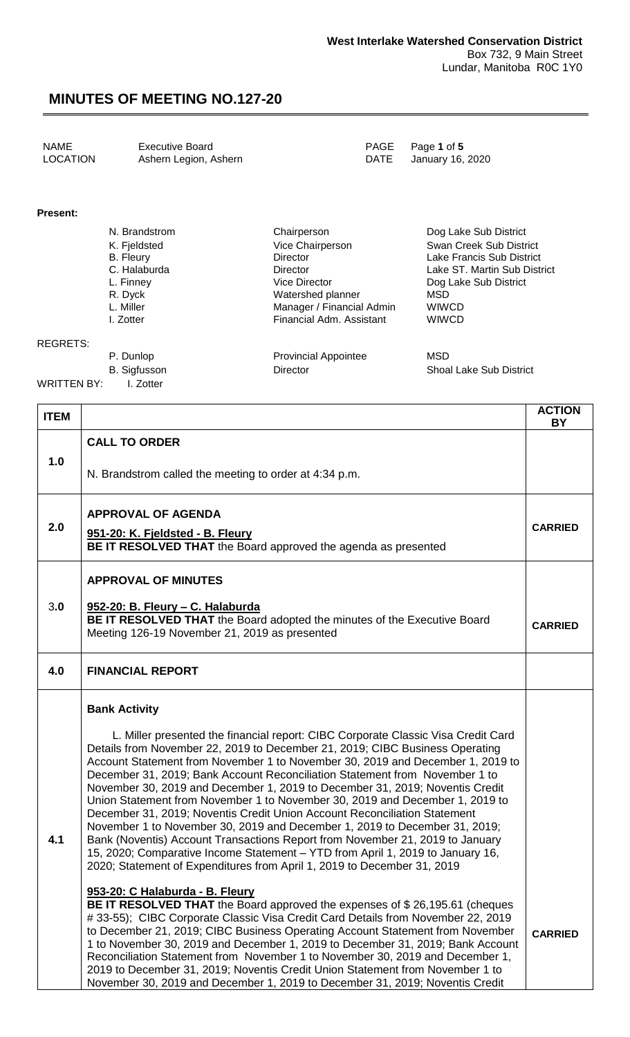| NAME     | <b>Executive Board</b> | PAGE Page 1 of 5      |
|----------|------------------------|-----------------------|
| LOCATION | Ashern Legion, Ashern  | DATE January 16, 2020 |

#### **Present:**

| N. Brandstrom    | Chairperson               | Dog Lake Sub District        |
|------------------|---------------------------|------------------------------|
| K. Fjeldsted     | Vice Chairperson          | Swan Creek Sub District      |
| <b>B.</b> Fleury | <b>Director</b>           | Lake Francis Sub District    |
| C. Halaburda     | <b>Director</b>           | Lake ST. Martin Sub District |
| L. Finney        | Vice Director             | Dog Lake Sub District        |
| R. Dyck          | Watershed planner         | MSD                          |
| L. Miller        | Manager / Financial Admin | <b>WIWCD</b>                 |
| I. Zotter        | Financial Adm. Assistant  | <b>WIWCD</b>                 |
|                  |                           |                              |
|                  |                           |                              |

#### REGRETS:

P. Dunlop **Provincial Appointee** MSD B. Sigfusson **Director** Director Shoal Lake Sub District

WRITTEN BY: I. Zotter

| <b>ITEM</b> |                                                                                                                                                                                                                                                                                                                                                                                                                                                                                                                                                                                                                                                                                                                                                                                                                                                                                                                                                                                                                                                                                                                                                                                                                                  | <b>ACTION</b><br><b>BY</b> |
|-------------|----------------------------------------------------------------------------------------------------------------------------------------------------------------------------------------------------------------------------------------------------------------------------------------------------------------------------------------------------------------------------------------------------------------------------------------------------------------------------------------------------------------------------------------------------------------------------------------------------------------------------------------------------------------------------------------------------------------------------------------------------------------------------------------------------------------------------------------------------------------------------------------------------------------------------------------------------------------------------------------------------------------------------------------------------------------------------------------------------------------------------------------------------------------------------------------------------------------------------------|----------------------------|
|             | <b>CALL TO ORDER</b>                                                                                                                                                                                                                                                                                                                                                                                                                                                                                                                                                                                                                                                                                                                                                                                                                                                                                                                                                                                                                                                                                                                                                                                                             |                            |
| 1.0         | N. Brandstrom called the meeting to order at 4:34 p.m.                                                                                                                                                                                                                                                                                                                                                                                                                                                                                                                                                                                                                                                                                                                                                                                                                                                                                                                                                                                                                                                                                                                                                                           |                            |
| 2.0         | <b>APPROVAL OF AGENDA</b><br>951-20: K. Fjeldsted - B. Fleury<br>BE IT RESOLVED THAT the Board approved the agenda as presented                                                                                                                                                                                                                                                                                                                                                                                                                                                                                                                                                                                                                                                                                                                                                                                                                                                                                                                                                                                                                                                                                                  | <b>CARRIED</b>             |
|             | <b>APPROVAL OF MINUTES</b><br>952-20: B. Fleury - C. Halaburda                                                                                                                                                                                                                                                                                                                                                                                                                                                                                                                                                                                                                                                                                                                                                                                                                                                                                                                                                                                                                                                                                                                                                                   |                            |
| 3.0         | BE IT RESOLVED THAT the Board adopted the minutes of the Executive Board<br>Meeting 126-19 November 21, 2019 as presented                                                                                                                                                                                                                                                                                                                                                                                                                                                                                                                                                                                                                                                                                                                                                                                                                                                                                                                                                                                                                                                                                                        | <b>CARRIED</b>             |
| 4.0         | <b>FINANCIAL REPORT</b>                                                                                                                                                                                                                                                                                                                                                                                                                                                                                                                                                                                                                                                                                                                                                                                                                                                                                                                                                                                                                                                                                                                                                                                                          |                            |
| 4.1         | <b>Bank Activity</b><br>L. Miller presented the financial report: CIBC Corporate Classic Visa Credit Card<br>Details from November 22, 2019 to December 21, 2019; CIBC Business Operating<br>Account Statement from November 1 to November 30, 2019 and December 1, 2019 to<br>December 31, 2019; Bank Account Reconciliation Statement from November 1 to<br>November 30, 2019 and December 1, 2019 to December 31, 2019; Noventis Credit<br>Union Statement from November 1 to November 30, 2019 and December 1, 2019 to<br>December 31, 2019; Noventis Credit Union Account Reconciliation Statement<br>November 1 to November 30, 2019 and December 1, 2019 to December 31, 2019;<br>Bank (Noventis) Account Transactions Report from November 21, 2019 to January<br>15, 2020; Comparative Income Statement - YTD from April 1, 2019 to January 16,<br>2020; Statement of Expenditures from April 1, 2019 to December 31, 2019<br>953-20: C Halaburda - B. Fleury<br><b>BE IT RESOLVED THAT</b> the Board approved the expenses of \$26,195.61 (cheques<br>#33-55); CIBC Corporate Classic Visa Credit Card Details from November 22, 2019<br>to December 21, 2019; CIBC Business Operating Account Statement from November | <b>CARRIED</b>             |
|             | 1 to November 30, 2019 and December 1, 2019 to December 31, 2019; Bank Account<br>Reconciliation Statement from November 1 to November 30, 2019 and December 1,<br>2019 to December 31, 2019; Noventis Credit Union Statement from November 1 to<br>November 30, 2019 and December 1, 2019 to December 31, 2019; Noventis Credit                                                                                                                                                                                                                                                                                                                                                                                                                                                                                                                                                                                                                                                                                                                                                                                                                                                                                                 |                            |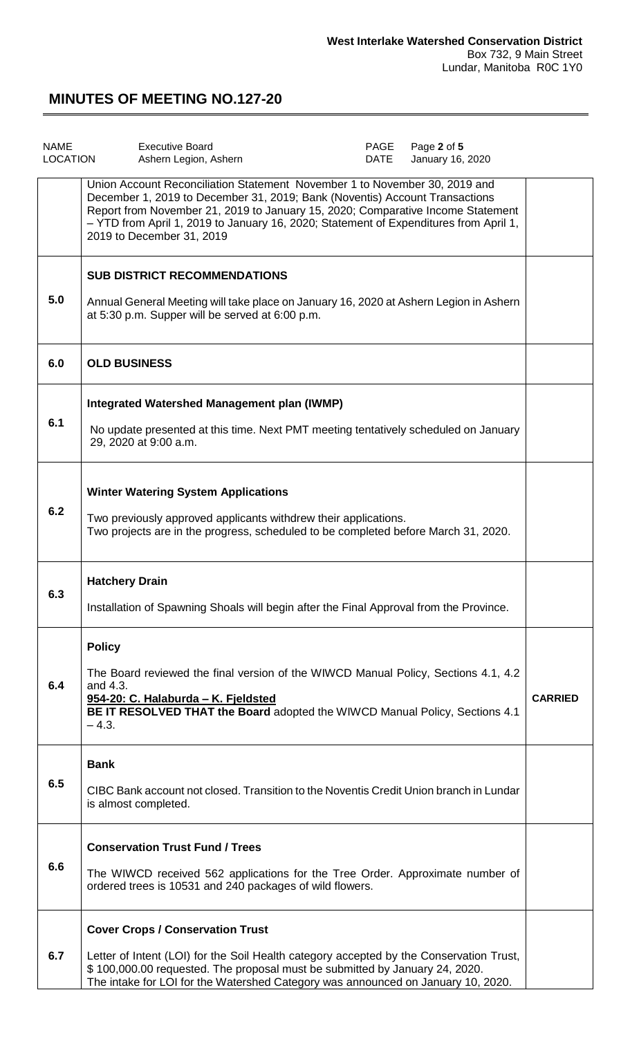| <b>NAME</b><br><b>LOCATION</b> | <b>Executive Board</b><br>Ashern Legion, Ashern                                                                                                                                                                                                                                                                                                                    | PAGE<br><b>DATE</b> | Page 2 of 5<br>January 16, 2020 |                |
|--------------------------------|--------------------------------------------------------------------------------------------------------------------------------------------------------------------------------------------------------------------------------------------------------------------------------------------------------------------------------------------------------------------|---------------------|---------------------------------|----------------|
|                                | Union Account Reconciliation Statement November 1 to November 30, 2019 and<br>December 1, 2019 to December 31, 2019; Bank (Noventis) Account Transactions<br>Report from November 21, 2019 to January 15, 2020; Comparative Income Statement<br>- YTD from April 1, 2019 to January 16, 2020; Statement of Expenditures from April 1,<br>2019 to December 31, 2019 |                     |                                 |                |
| 5.0                            | <b>SUB DISTRICT RECOMMENDATIONS</b><br>Annual General Meeting will take place on January 16, 2020 at Ashern Legion in Ashern<br>at 5:30 p.m. Supper will be served at 6:00 p.m.                                                                                                                                                                                    |                     |                                 |                |
| 6.0                            | <b>OLD BUSINESS</b>                                                                                                                                                                                                                                                                                                                                                |                     |                                 |                |
| 6.1                            | Integrated Watershed Management plan (IWMP)<br>No update presented at this time. Next PMT meeting tentatively scheduled on January<br>29, 2020 at 9:00 a.m.                                                                                                                                                                                                        |                     |                                 |                |
| 6.2                            | <b>Winter Watering System Applications</b><br>Two previously approved applicants withdrew their applications.<br>Two projects are in the progress, scheduled to be completed before March 31, 2020.                                                                                                                                                                |                     |                                 |                |
| 6.3                            | <b>Hatchery Drain</b><br>Installation of Spawning Shoals will begin after the Final Approval from the Province.                                                                                                                                                                                                                                                    |                     |                                 |                |
| 6.4                            | <b>Policy</b><br>The Board reviewed the final version of the WIWCD Manual Policy, Sections 4.1, 4.2<br>and 4.3.<br>954-20: C. Halaburda - K. Fjeldsted<br>BE IT RESOLVED THAT the Board adopted the WIWCD Manual Policy, Sections 4.1<br>$-4.3.$                                                                                                                   |                     |                                 | <b>CARRIED</b> |
| 6.5                            | <b>Bank</b><br>CIBC Bank account not closed. Transition to the Noventis Credit Union branch in Lundar<br>is almost completed.                                                                                                                                                                                                                                      |                     |                                 |                |
| 6.6                            | <b>Conservation Trust Fund / Trees</b><br>The WIWCD received 562 applications for the Tree Order. Approximate number of<br>ordered trees is 10531 and 240 packages of wild flowers.                                                                                                                                                                                |                     |                                 |                |
| 6.7                            | <b>Cover Crops / Conservation Trust</b><br>Letter of Intent (LOI) for the Soil Health category accepted by the Conservation Trust,<br>\$100,000.00 requested. The proposal must be submitted by January 24, 2020.<br>The intake for LOI for the Watershed Category was announced on January 10, 2020.                                                              |                     |                                 |                |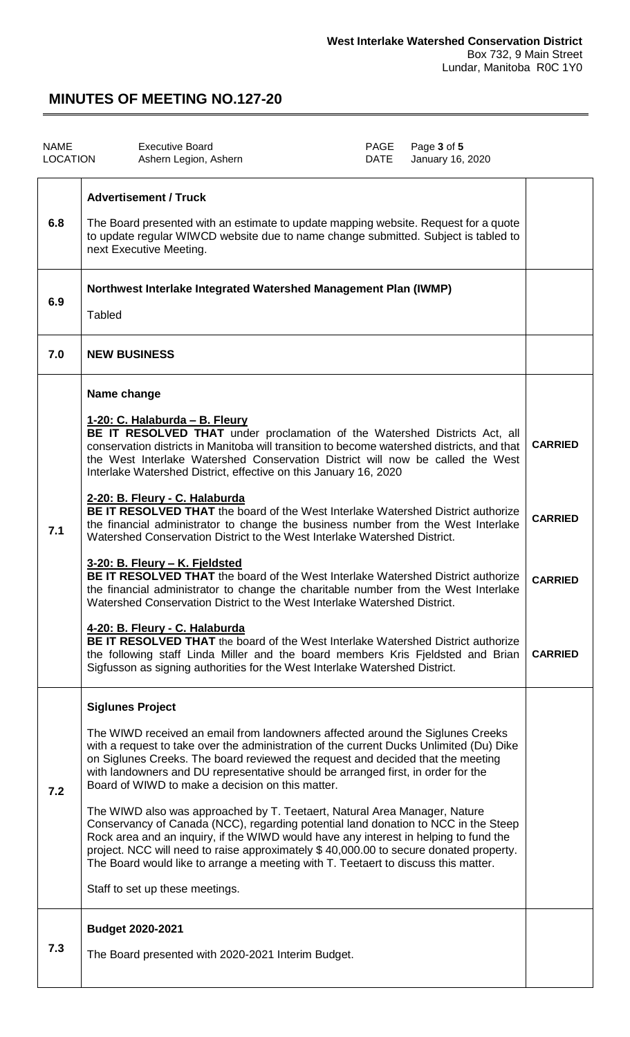| <b>NAME</b><br><b>LOCATION</b> | <b>Executive Board</b><br>Ashern Legion, Ashern                                                                                                                                                                                                                                                                                                                                                                                                                                                                                                                                                                                                                                                                                                                                                                                                                                                                                                                                                                                                                                                                                                                                                                                                                         | PAGE<br><b>DATE</b> | Page 3 of 5<br>January 16, 2020 |                                                                      |
|--------------------------------|-------------------------------------------------------------------------------------------------------------------------------------------------------------------------------------------------------------------------------------------------------------------------------------------------------------------------------------------------------------------------------------------------------------------------------------------------------------------------------------------------------------------------------------------------------------------------------------------------------------------------------------------------------------------------------------------------------------------------------------------------------------------------------------------------------------------------------------------------------------------------------------------------------------------------------------------------------------------------------------------------------------------------------------------------------------------------------------------------------------------------------------------------------------------------------------------------------------------------------------------------------------------------|---------------------|---------------------------------|----------------------------------------------------------------------|
| 6.8                            | <b>Advertisement / Truck</b><br>The Board presented with an estimate to update mapping website. Request for a quote<br>to update regular WIWCD website due to name change submitted. Subject is tabled to<br>next Executive Meeting.                                                                                                                                                                                                                                                                                                                                                                                                                                                                                                                                                                                                                                                                                                                                                                                                                                                                                                                                                                                                                                    |                     |                                 |                                                                      |
| 6.9                            | Northwest Interlake Integrated Watershed Management Plan (IWMP)<br><b>Tabled</b>                                                                                                                                                                                                                                                                                                                                                                                                                                                                                                                                                                                                                                                                                                                                                                                                                                                                                                                                                                                                                                                                                                                                                                                        |                     |                                 |                                                                      |
| 7.0                            | <b>NEW BUSINESS</b>                                                                                                                                                                                                                                                                                                                                                                                                                                                                                                                                                                                                                                                                                                                                                                                                                                                                                                                                                                                                                                                                                                                                                                                                                                                     |                     |                                 |                                                                      |
| 7.1                            | Name change<br>1-20: C. Halaburda - B. Fleury<br>BE IT RESOLVED THAT under proclamation of the Watershed Districts Act, all<br>conservation districts in Manitoba will transition to become watershed districts, and that<br>the West Interlake Watershed Conservation District will now be called the West<br>Interlake Watershed District, effective on this January 16, 2020<br>2-20: B. Fleury - C. Halaburda<br><b>BE IT RESOLVED THAT</b> the board of the West Interlake Watershed District authorize<br>the financial administrator to change the business number from the West Interlake<br>Watershed Conservation District to the West Interlake Watershed District.<br>3-20: B. Fleury - K. Fjeldsted<br><b>BE IT RESOLVED THAT</b> the board of the West Interlake Watershed District authorize<br>the financial administrator to change the charitable number from the West Interlake<br>Watershed Conservation District to the West Interlake Watershed District.<br>4-20: B. Fleury - C. Halaburda<br>BE IT RESOLVED THAT the board of the West Interlake Watershed District authorize<br>the following staff Linda Miller and the board members Kris Fjeldsted and Brian<br>Sigfusson as signing authorities for the West Interlake Watershed District. |                     |                                 | <b>CARRIED</b><br><b>CARRIED</b><br><b>CARRIED</b><br><b>CARRIED</b> |
| 7.2                            | <b>Siglunes Project</b><br>The WIWD received an email from landowners affected around the Siglunes Creeks<br>with a request to take over the administration of the current Ducks Unlimited (Du) Dike<br>on Siglunes Creeks. The board reviewed the request and decided that the meeting<br>with landowners and DU representative should be arranged first, in order for the<br>Board of WIWD to make a decision on this matter.<br>The WIWD also was approached by T. Teetaert, Natural Area Manager, Nature<br>Conservancy of Canada (NCC), regarding potential land donation to NCC in the Steep<br>Rock area and an inquiry, if the WIWD would have any interest in helping to fund the<br>project. NCC will need to raise approximately \$40,000.00 to secure donated property.<br>The Board would like to arrange a meeting with T. Teetaert to discuss this matter.<br>Staff to set up these meetings.                                                                                                                                                                                                                                                                                                                                                            |                     |                                 |                                                                      |
| 7.3                            | <b>Budget 2020-2021</b><br>The Board presented with 2020-2021 Interim Budget.                                                                                                                                                                                                                                                                                                                                                                                                                                                                                                                                                                                                                                                                                                                                                                                                                                                                                                                                                                                                                                                                                                                                                                                           |                     |                                 |                                                                      |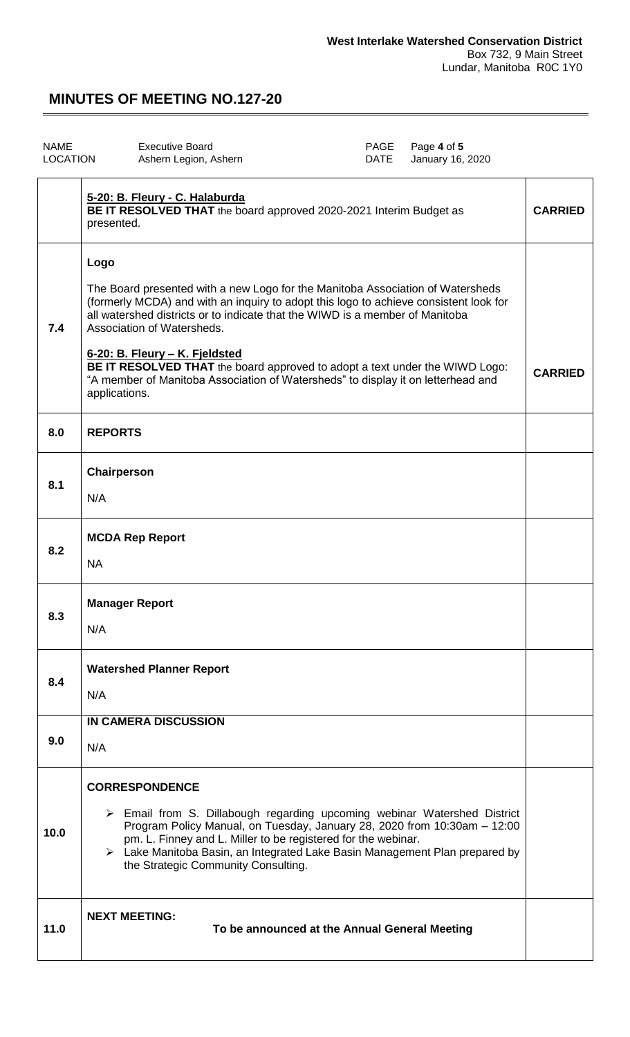| <b>NAME</b><br><b>LOCATION</b> | <b>Executive Board</b><br>Page 4 of 5<br>PAGE<br><b>DATE</b><br>January 16, 2020<br>Ashern Legion, Ashern                                                                                                                                                                                                                                                                                                                                                                                                           |                |
|--------------------------------|---------------------------------------------------------------------------------------------------------------------------------------------------------------------------------------------------------------------------------------------------------------------------------------------------------------------------------------------------------------------------------------------------------------------------------------------------------------------------------------------------------------------|----------------|
|                                | 5-20: B. Fleury - C. Halaburda<br>BE IT RESOLVED THAT the board approved 2020-2021 Interim Budget as<br>presented.                                                                                                                                                                                                                                                                                                                                                                                                  | <b>CARRIED</b> |
| 7.4                            | Logo<br>The Board presented with a new Logo for the Manitoba Association of Watersheds<br>(formerly MCDA) and with an inquiry to adopt this logo to achieve consistent look for<br>all watershed districts or to indicate that the WIWD is a member of Manitoba<br>Association of Watersheds.<br>6-20: B. Fleury - K. Fjeldsted<br>BE IT RESOLVED THAT the board approved to adopt a text under the WIWD Logo:<br>"A member of Manitoba Association of Watersheds" to display it on letterhead and<br>applications. | <b>CARRIED</b> |
| 8.0                            | <b>REPORTS</b>                                                                                                                                                                                                                                                                                                                                                                                                                                                                                                      |                |
| 8.1                            | Chairperson<br>N/A                                                                                                                                                                                                                                                                                                                                                                                                                                                                                                  |                |
| 8.2                            | <b>MCDA Rep Report</b><br><b>NA</b>                                                                                                                                                                                                                                                                                                                                                                                                                                                                                 |                |
| 8.3                            | <b>Manager Report</b><br>N/A                                                                                                                                                                                                                                                                                                                                                                                                                                                                                        |                |
| 8.4                            | <b>Watershed Planner Report</b><br>N/A                                                                                                                                                                                                                                                                                                                                                                                                                                                                              |                |
| 9.0                            | <b>IN CAMERA DISCUSSION</b><br>N/A                                                                                                                                                                                                                                                                                                                                                                                                                                                                                  |                |
| 10.0                           | <b>CORRESPONDENCE</b><br>$\triangleright$ Email from S. Dillabough regarding upcoming webinar Watershed District<br>Program Policy Manual, on Tuesday, January 28, 2020 from 10:30am - 12:00<br>pm. L. Finney and L. Miller to be registered for the webinar.<br>> Lake Manitoba Basin, an Integrated Lake Basin Management Plan prepared by<br>the Strategic Community Consulting.                                                                                                                                 |                |
| 11.0                           | <b>NEXT MEETING:</b><br>To be announced at the Annual General Meeting                                                                                                                                                                                                                                                                                                                                                                                                                                               |                |